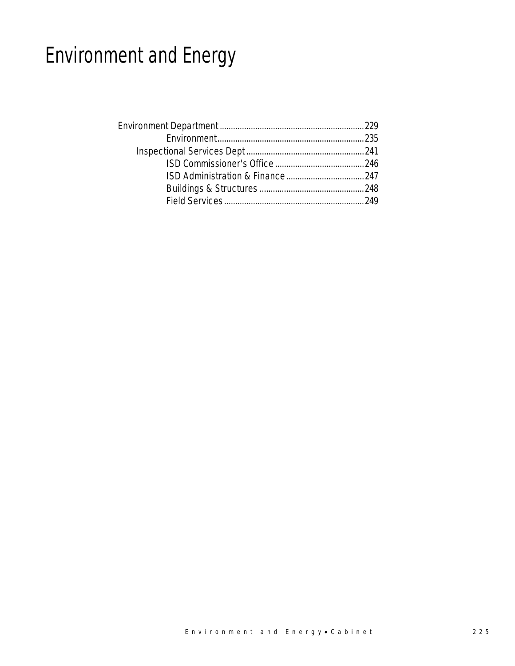# Environment and Energy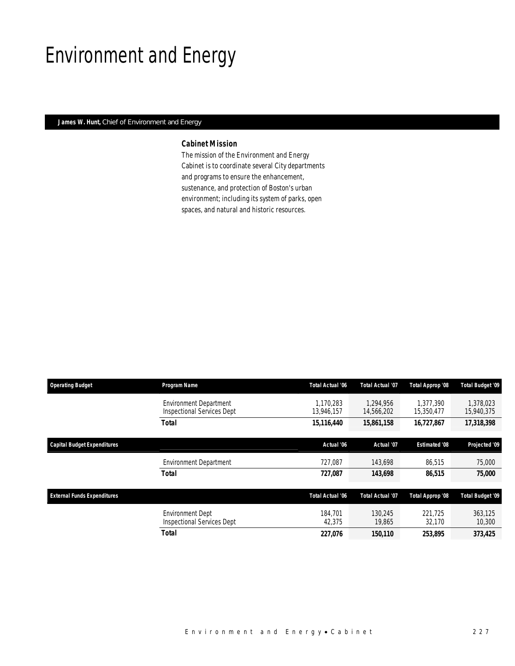## Environment and Energy

### *James W. Hunt, Chief of Environment and Energy*

### *Cabinet Mission*

The mission of the Environment and Energy Cabinet is to coordinate several City departments and programs to ensure the enhancement, sustenance, and protection of Boston's urban environment; including its system of parks, open spaces, and natural and historic resources.

| <b>Operating Budget</b>            | Program Name                                                       | Total Actual '06        | <b>Total Actual '07</b> | Total Approp '08        | <b>Total Budget '09</b> |
|------------------------------------|--------------------------------------------------------------------|-------------------------|-------------------------|-------------------------|-------------------------|
|                                    | <b>Environment Department</b><br><b>Inspectional Services Dept</b> | 1.170.283<br>13.946.157 | 1.294.956<br>14,566,202 | 1.377.390<br>15,350,477 | 1,378,023<br>15,940,375 |
|                                    | <b>Total</b>                                                       | 15,116,440              | 15,861,158              | 16,727,867              | 17,318,398              |
| <b>Capital Budget Expenditures</b> |                                                                    | Actual '06              | Actual '07              | <b>Estimated '08</b>    | Projected '09           |
|                                    | <b>Environment Department</b>                                      | 727.087                 | 143,698                 | 86.515                  | 75,000                  |
|                                    | Total                                                              | 727.087                 | 143,698                 | 86.515                  | 75,000                  |
| <b>External Funds Expenditures</b> |                                                                    | Total Actual '06        | <b>Total Actual '07</b> | Total Approp '08        | <b>Total Budget '09</b> |
|                                    | <b>Environment Dept</b><br><b>Inspectional Services Dept</b>       | 184,701<br>42,375       | 130.245<br>19.865       | 221.725<br>32,170       | 363.125<br>10,300       |
|                                    | <b>Total</b>                                                       | 227.076                 | 150.110                 | 253.895                 | 373,425                 |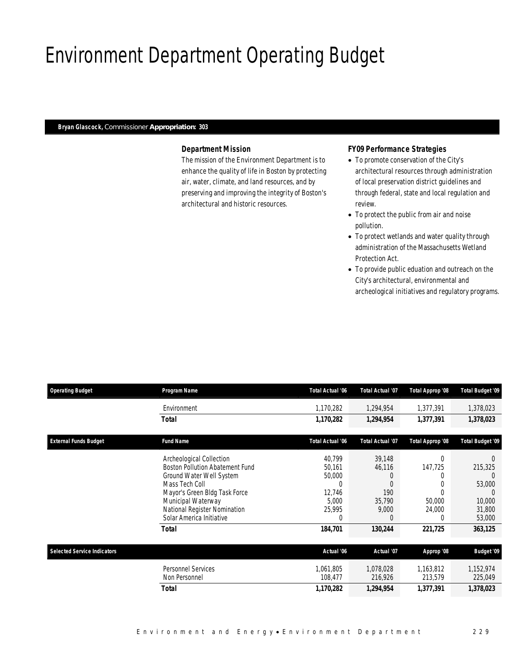# Environment Department Operating Budget

#### *Bryan Glascock, Commissioner Appropriation: 303*

### *Department Mission*

The mission of the Environment Department is to enhance the quality of life in Boston by protecting air, water, climate, and land resources, and by preserving and improving the integrity of Boston's architectural and historic resources.

### *FY09 Performance Strategies*

- To promote conservation of the City's architectural resources through administration of local preservation district guidelines and through federal, state and local regulation and review.
- To protect the public from air and noise pollution.
- To protect wetlands and water quality through administration of the Massachusetts Wetland Protection Act.
- To provide public eduation and outreach on the City's architectural, environmental and archeological initiatives and regulatory programs.

| <b>Operating Budget</b>            | Program Name                                                                   | <b>Total Actual '06</b>      | <b>Total Actual '07</b>     | Total Approp '08      | Total Budget '09           |
|------------------------------------|--------------------------------------------------------------------------------|------------------------------|-----------------------------|-----------------------|----------------------------|
|                                    | Environment                                                                    | 1,170,282                    | 1,294,954                   | 1,377,391             | 1,378,023                  |
|                                    | Total                                                                          | 1,170,282                    | 1,294,954                   | 1,377,391             | 1,378,023                  |
| <b>External Funds Budget</b>       | <b>Fund Name</b>                                                               | Total Actual '06             | <b>Total Actual '07</b>     | Total Approp '08      | <b>Total Budget '09</b>    |
|                                    | Archeological Collection<br><b>Boston Pollution Abatement Fund</b>             | 40,799<br>50,161             | 39,148<br>46,116            | $\Omega$<br>147,725   | 215,325                    |
|                                    | Ground Water Well System<br>Mass Tech Coll<br>Mayor's Green Bldg Task Force    | 50,000<br>$\Omega$<br>12,746 | 190                         |                       | 53,000<br>$\left( \right)$ |
|                                    | Municipal Waterway<br>National Register Nomination<br>Solar America Initiative | 5,000<br>25,995<br>$\Omega$  | 35,790<br>9,000<br>$\Omega$ | 50,000<br>24,000<br>0 | 10,000<br>31,800<br>53,000 |
|                                    | <b>Total</b>                                                                   | 184,701                      | 130,244                     | 221,725               | 363,125                    |
| <b>Selected Service Indicators</b> |                                                                                | Actual '06                   | Actual '07                  | Approp '08            | <b>Budget '09</b>          |
|                                    | <b>Personnel Services</b><br>Non Personnel                                     | 1,061,805<br>108,477         | 1,078,028<br>216,926        | 1,163,812<br>213,579  | 1,152,974<br>225,049       |
|                                    | <b>Total</b>                                                                   | 1,170,282                    | 1,294,954                   | 1,377,391             | 1,378,023                  |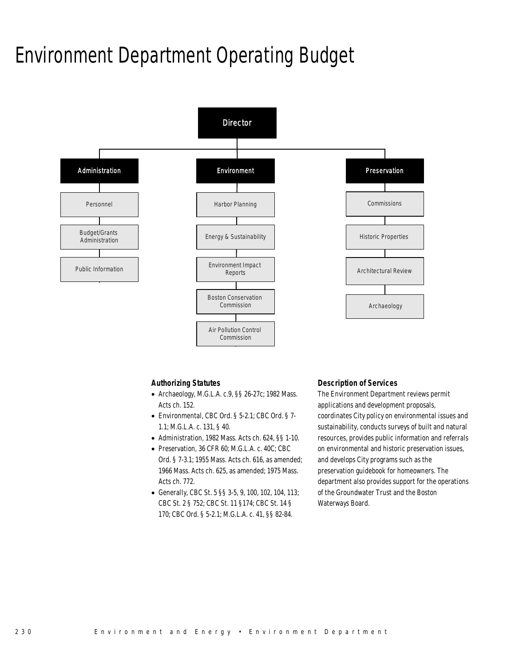### Environment Department Operating Budget



### *Authorizing Statutes*

- Archaeology, M.G.L.A. c.9, §§ 26-27c; 1982 Mass. Acts ch. 152.
- Environmental, CBC Ord. § 5-2.1; CBC Ord. § 7- 1.1; M.G.L.A. c. 131, § 40.
- Administration, 1982 Mass. Acts ch. 624, §§ 1-10.
- Preservation, 36 CFR 60; M.G.L.A. c. 40C; CBC Ord. § 7-3.1; 1955 Mass. Acts ch. 616, as amended; 1966 Mass. Acts ch. 625, as amended; 1975 Mass. Acts ch. 772.
- Generally, CBC St. 5 §§ 3-5, 9, 100, 102, 104, 113; CBC St. 2 § 752; CBC St. 11 §174; CBC St. 14 § 170; CBC Ord. § 5-2.1; M.G.L.A. c. 41, §§ 82-84.

### *Description of Services*

The Environment Department reviews permit applications and development proposals, coordinates City policy on environmental issues and sustainability, conducts surveys of built and natural resources, provides public information and referrals on environmental and historic preservation issues, and develops City programs such as the preservation guidebook for homeowners. The department also provides support for the operations of the Groundwater Trust and the Boston Waterways Board.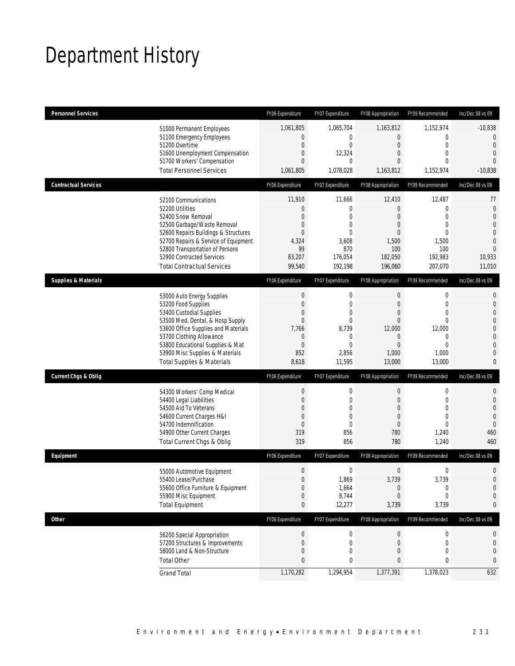# Department History

| <b>Personnel Services</b>       |                                                                                                                                                                                                                                                                                                      | FY06 Expenditure                                                                                                          | FY07 Expenditure                                                                                                         | FY08 Appropriation                                                                                                 | FY09 Recommended                                                                                                        | Inc/Dec 08 vs 09                                                                                                                                |
|---------------------------------|------------------------------------------------------------------------------------------------------------------------------------------------------------------------------------------------------------------------------------------------------------------------------------------------------|---------------------------------------------------------------------------------------------------------------------------|--------------------------------------------------------------------------------------------------------------------------|--------------------------------------------------------------------------------------------------------------------|-------------------------------------------------------------------------------------------------------------------------|-------------------------------------------------------------------------------------------------------------------------------------------------|
|                                 | 51000 Permanent Employees<br>51100 Emergency Employees<br>51200 Overtime<br>51600 Unemployment Compensation<br>51700 Workers' Compensation<br><b>Total Personnel Services</b>                                                                                                                        | 1,061,805<br>0<br>$\mathbf 0$<br>$\mathbf 0$<br>$\overline{0}$<br>1,061,805                                               | 1,065,704<br>0<br>$\mathbf 0$<br>12,324<br>$\mathbf{0}$<br>1,078,028                                                     | 1,163,812<br>$\overline{0}$<br>$\mathbf 0$<br>0<br>0<br>1,163,812                                                  | 1,152,974<br>0<br>$\mathbf 0$<br>$\mathbf{0}$<br>$\Omega$<br>1,152,974                                                  | $-10,838$<br>$\overline{0}$<br>$\overline{0}$<br>$\overline{0}$<br>$\Omega$<br>$-10,838$                                                        |
| <b>Contractual Services</b>     |                                                                                                                                                                                                                                                                                                      | FY06 Expenditure                                                                                                          | FY07 Expenditure                                                                                                         | FY08 Appropriation                                                                                                 | FY09 Recommended                                                                                                        | Inc/Dec 08 vs 09                                                                                                                                |
|                                 | 52100 Communications<br>52200 Utilities<br>52400 Snow Removal<br>52500 Garbage/Waste Removal<br>52600 Repairs Buildings & Structures<br>52700 Repairs & Service of Equipment<br>52800 Transportation of Persons<br>52900 Contracted Services<br><b>Total Contractual Services</b>                    | 11,910<br>$\theta$<br>$\overline{0}$<br>$\mathbf 0$<br>$\overline{0}$<br>4,324<br>99<br>83,207<br>99,540                  | 11,666<br>$\boldsymbol{0}$<br>$\mathbf 0$<br>$\mathbf 0$<br>$\overline{0}$<br>3,608<br>870<br>176,054<br>192,198         | 12,410<br>$\mathbf 0$<br>0<br>0<br>0<br>1,500<br>100<br>182,050<br>196,060                                         | 12,487<br>$\mathbf{0}$<br>$\mathbf{0}$<br>$\mathbf{0}$<br>$\mathbf{0}$<br>1,500<br>100<br>192,983<br>207,070            | 77<br>$\mathbf 0$<br>$\overline{0}$<br>$\overline{0}$<br>$\mathbf 0$<br>$\overline{0}$<br>$\overline{0}$<br>10,933<br>11,010                    |
| <b>Supplies &amp; Materials</b> |                                                                                                                                                                                                                                                                                                      | FY06 Expenditure                                                                                                          | FY07 Expenditure                                                                                                         | FY08 Appropriation                                                                                                 | FY09 Recommended                                                                                                        | Inc/Dec 08 vs 09                                                                                                                                |
|                                 | 53000 Auto Energy Supplies<br>53200 Food Supplies<br>53400 Custodial Supplies<br>53500 Med, Dental, & Hosp Supply<br>53600 Office Supplies and Materials<br>53700 Clothing Allowance<br>53800 Educational Supplies & Mat<br>53900 Misc Supplies & Materials<br><b>Total Supplies &amp; Materials</b> | $\boldsymbol{0}$<br>$\boldsymbol{0}$<br>0<br>$\boldsymbol{0}$<br>7,766<br>$\boldsymbol{0}$<br>$\mathbf 0$<br>852<br>8,618 | $\mathbf 0$<br>$\mathbf 0$<br>$\mathbf 0$<br>$\overline{0}$<br>8,739<br>$\mathbf 0$<br>$\overline{0}$<br>2,856<br>11,595 | $\mathbf 0$<br>$\overline{0}$<br>0<br>$\overline{0}$<br>12,000<br>$\mathbf 0$<br>$\overline{0}$<br>1,000<br>13,000 | $\mathbf 0$<br>$\mathbf{0}$<br>$\mathbf{0}$<br>$\mathbf{0}$<br>12,000<br>$\mathbf 0$<br>$\mathbf{0}$<br>1,000<br>13,000 | $\mathbf{0}$<br>$\mathbf{0}$<br>$\mathbf{0}$<br>$\mathbf{0}$<br>$\mathbf 0$<br>$\overline{0}$<br>$\mathbf{0}$<br>$\overline{0}$<br>$\mathbf{0}$ |
| <b>Current Chgs &amp; Oblig</b> |                                                                                                                                                                                                                                                                                                      | FY06 Expenditure                                                                                                          | FY07 Expenditure                                                                                                         | FY08 Appropriation                                                                                                 | FY09 Recommended                                                                                                        | Inc/Dec 08 vs 09                                                                                                                                |
|                                 | 54300 Workers' Comp Medical<br>54400 Legal Liabilities<br>54500 Aid To Veterans<br>54600 Current Charges H&I<br>54700 Indemnification<br>54900 Other Current Charges<br>Total Current Chgs & Oblig                                                                                                   | $\boldsymbol{0}$<br>$\boldsymbol{0}$<br>0<br>$\mathbf 0$<br>$\overline{0}$<br>319<br>319                                  | $\boldsymbol{0}$<br>$\mathbf 0$<br>$\mathbf 0$<br>$\mathbf{0}$<br>$\overline{0}$<br>856<br>856                           | $\mathbf 0$<br>$\mathbf 0$<br>0<br>$\mathbf 0$<br>$\mathbf{0}$<br>780<br>780                                       | $\mathbf 0$<br>$\mathbf 0$<br>$\mathbf{0}$<br>$\mathbf{0}$<br>$\mathbf{0}$<br>1,240<br>1,240                            | $\mathbf{0}$<br>$\mathbf 0$<br>$\mathbf{0}$<br>$\overline{0}$<br>$\mathbf 0$<br>460<br>460                                                      |
| Equipment                       |                                                                                                                                                                                                                                                                                                      | FY06 Expenditure                                                                                                          | FY07 Expenditure                                                                                                         | FY08 Appropriation                                                                                                 | FY09 Recommended                                                                                                        | Inc/Dec 08 vs 09                                                                                                                                |
|                                 | 55000 Automotive Equipment<br>55400 Lease/Purchase<br>55600 Office Furniture & Equipment<br>55900 Misc Equipment<br><b>Total Equipment</b>                                                                                                                                                           | $\mathbf 0$<br>$\overline{0}$<br>$\boldsymbol{0}$<br>$\boldsymbol{0}$<br>$\bf{0}$                                         | $\boldsymbol{0}$<br>1,869<br>1,664<br>8,744<br>12,277                                                                    | $\mathbf 0$<br>3,739<br>$\theta$<br>$\overline{0}$<br>3,739                                                        | $\mathbf 0$<br>3,739<br>$\boldsymbol{0}$<br>$\mathbf{0}$<br>3,739                                                       | $\mathbf 0$<br>$\overline{0}$<br>$\mathbf 0$<br>$\mathbf 0$<br>0                                                                                |
| <b>Other</b>                    |                                                                                                                                                                                                                                                                                                      | FY06 Expenditure                                                                                                          | FY07 Expenditure                                                                                                         | FY08 Appropriation                                                                                                 | FY09 Recommended                                                                                                        | Inc/Dec 08 vs 09                                                                                                                                |
|                                 | 56200 Special Appropriation<br>57200 Structures & Improvements<br>58000 Land & Non-Structure<br><b>Total Other</b>                                                                                                                                                                                   | $\boldsymbol{0}$<br>$\boldsymbol{0}$<br>$\boldsymbol{0}$<br>$\pmb{0}$                                                     | 0<br>0<br>$\mathbf 0$<br>0                                                                                               | 0<br>$\mathbf 0$<br>0<br>0                                                                                         | 0<br>0<br>$\mathbf{0}$<br>0                                                                                             | 0<br>$\mathbf 0$<br>$\mathbf 0$<br>0                                                                                                            |
|                                 | <b>Grand Total</b>                                                                                                                                                                                                                                                                                   | 1,170,282                                                                                                                 | 1,294,954                                                                                                                | 1,377,391                                                                                                          | 1,378,023                                                                                                               | 632                                                                                                                                             |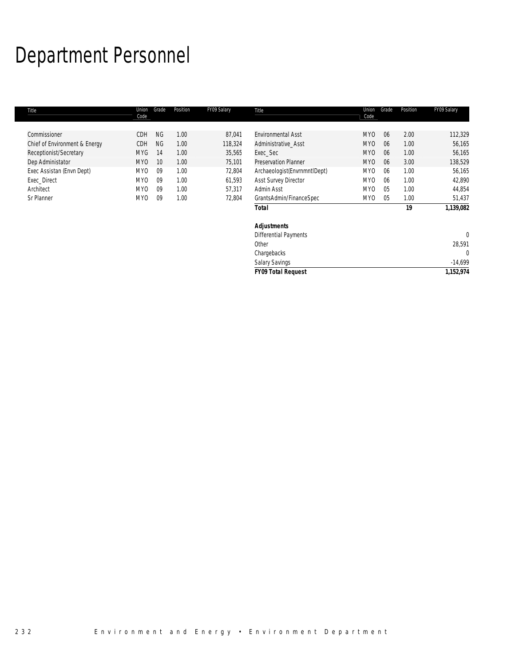# Department Personnel

| Title                         | Union<br>Code   | Grade           | Position | FY09 Salary | Title                        | Union<br>Code   | Grade | Position | FY09 Salary |
|-------------------------------|-----------------|-----------------|----------|-------------|------------------------------|-----------------|-------|----------|-------------|
|                               |                 |                 |          |             |                              |                 |       |          |             |
| Commissioner                  | CDH             | <b>NG</b>       | 1.00     | 87,041      | <b>Environmental Asst</b>    | MY <sub>0</sub> | 06    | 2.00     | 112,329     |
| Chief of Environment & Energy | CDH             | <b>NG</b>       | 1.00     | 118,324     | Administrative Asst          | MY <sub>0</sub> | 06    | 1.00     | 56,165      |
| Receptionist/Secretary        | <b>MYG</b>      | 14              | 1.00     | 35,565      | Exec_Sec                     | MY <sub>0</sub> | 06    | 1.00     | 56,165      |
| Dep Administator              | MY <sub>0</sub> | 10 <sup>°</sup> | 1.00     | 75,101      | <b>Preservation Planner</b>  | MY <sub>0</sub> | 06    | 3.00     | 138,529     |
| Exec Assistan (Envn Dept)     | MY0             | 09              | 1.00     | 72,804      | Archaeologist(EnvrnmntIDept) | MY <sub>0</sub> | 06    | 1.00     | 56,165      |
| Exec Direct                   | MY <sub>0</sub> | 09              | 1.00     | 61,593      | <b>Asst Survey Director</b>  | MY <sub>0</sub> | 06    | 1.00     | 42,890      |
| Architect                     | MY <sub>0</sub> | 09              | 1.00     | 57,317      | Admin Asst                   | MY <sub>0</sub> | 05    | 1.00     | 44,854      |
| Sr Planner                    | MY0             | 09              | 1.00     | 72,804      | GrantsAdmin/FinanceSpec      | MY0             | 05    | 1.00     | 51,437      |
|                               |                 |                 |          |             | Total                        |                 |       | 19       | 1,139,082   |
|                               |                 |                 |          |             | <b>Adjustments</b>           |                 |       |          |             |
|                               |                 |                 |          |             | Differential Payments        |                 |       |          | $\Omega$    |
|                               |                 |                 |          |             | Other                        |                 |       |          | 28,591      |
|                               |                 |                 |          |             | Chargebacks                  |                 |       |          | $\Omega$    |
|                               |                 |                 |          |             | <b>Salary Savings</b>        |                 |       |          | $-14,699$   |

*FY09 Total Request 1,152,974*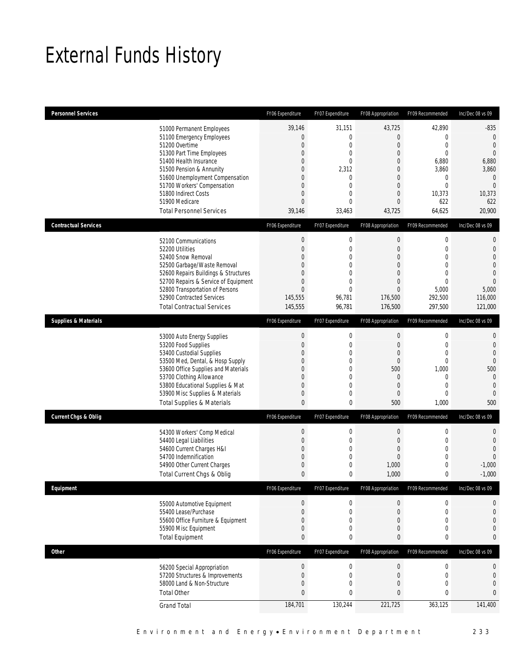## External Funds History

| <b>Personnel Services</b>       |                                                                                                                                                                                                                                                                                                            | FY06 Expenditure                                                                                 | FY07 Expenditure                                                                                                    | FY08 Appropriation                                                                                             | FY09 Recommended                                                                                                                  | Inc/Dec 08 vs 09                                                                                                                        |
|---------------------------------|------------------------------------------------------------------------------------------------------------------------------------------------------------------------------------------------------------------------------------------------------------------------------------------------------------|--------------------------------------------------------------------------------------------------|---------------------------------------------------------------------------------------------------------------------|----------------------------------------------------------------------------------------------------------------|-----------------------------------------------------------------------------------------------------------------------------------|-----------------------------------------------------------------------------------------------------------------------------------------|
|                                 | 51000 Permanent Employees<br>51100 Emergency Employees<br>51200 Overtime<br>51300 Part Time Employees<br>51400 Health Insurance<br>51500 Pension & Annunity<br>51600 Unemployment Compensation<br>51700 Workers' Compensation<br>51800 Indirect Costs<br>51900 Medicare<br><b>Total Personnel Services</b> | 39,146<br>$\boldsymbol{0}$<br>$\mathbf 0$<br>0<br>0<br>0<br>0<br>0<br>0<br>0<br>39,146           | 31,151<br>0<br>0<br>0<br>0<br>2,312<br>0<br>0<br>$\overline{0}$<br>$\Omega$<br>33,463                               | 43,725<br>$\mathbf 0$<br>0<br>$\overline{0}$<br>0<br>0<br>0<br>0<br>$\mathbf{0}$<br>0<br>43,725                | 42,890<br>$\mathbf 0$<br>$\mathbf 0$<br>$\mathbf{0}$<br>6,880<br>3,860<br>$\mathbf{0}$<br>$\mathbf{0}$<br>10,373<br>622<br>64,625 | $-835$<br>$\mathbf{0}$<br>$\mathbf{0}$<br>$\overline{0}$<br>6,880<br>3,860<br>$\mathbf{0}$<br>$\overline{0}$<br>10,373<br>622<br>20,900 |
| <b>Contractual Services</b>     |                                                                                                                                                                                                                                                                                                            | FY06 Expenditure                                                                                 | FY07 Expenditure                                                                                                    | FY08 Appropriation                                                                                             | FY09 Recommended                                                                                                                  | Inc/Dec 08 vs 09                                                                                                                        |
|                                 | 52100 Communications<br>52200 Utilities<br>52400 Snow Removal<br>52500 Garbage/Waste Removal<br>52600 Repairs Buildings & Structures<br>52700 Repairs & Service of Equipment<br>52800 Transportation of Persons<br>52900 Contracted Services<br><b>Total Contractual Services</b>                          | $\boldsymbol{0}$<br>$\boldsymbol{0}$<br>0<br>0<br>0<br>0<br>$\overline{0}$<br>145,555<br>145,555 | $\boldsymbol{0}$<br>$\mathbf 0$<br>0<br>$\overline{0}$<br>$\overline{0}$<br>0<br>$\overline{0}$<br>96,781<br>96,781 | $\boldsymbol{0}$<br>$\boldsymbol{0}$<br>0<br>$\mathbf{0}$<br>0<br>0<br>$\overline{0}$<br>176,500<br>176,500    | $\boldsymbol{0}$<br>$\mathbf 0$<br>$\mathbf 0$<br>$\mathbf{0}$<br>$\mathbf{0}$<br>$\mathbf{0}$<br>5,000<br>292,500<br>297,500     | $\mathbf{0}$<br>$\mathbf{0}$<br>$\overline{0}$<br>$\Omega$<br>$\mathbf{0}$<br>$\mathbf{0}$<br>5,000<br>116,000<br>121,000               |
| <b>Supplies &amp; Materials</b> |                                                                                                                                                                                                                                                                                                            | FY06 Expenditure                                                                                 | FY07 Expenditure                                                                                                    | FY08 Appropriation                                                                                             | FY09 Recommended                                                                                                                  | Inc/Dec 08 vs 09                                                                                                                        |
|                                 | 53000 Auto Energy Supplies<br>53200 Food Supplies<br>53400 Custodial Supplies<br>53500 Med, Dental, & Hosp Supply<br>53600 Office Supplies and Materials<br>53700 Clothing Allowance<br>53800 Educational Supplies & Mat<br>53900 Misc Supplies & Materials<br><b>Total Supplies &amp; Materials</b>       | $\theta$<br>$\boldsymbol{0}$<br>0<br>0<br>0<br>0<br>0<br>0<br>$\mathbf{0}$                       | $\boldsymbol{0}$<br>$\mathbf 0$<br>0<br>0<br>$\overline{0}$<br>0<br>$\overline{0}$<br>0<br>0                        | $\boldsymbol{0}$<br>$\boldsymbol{0}$<br>0<br>$\mathbf 0$<br>500<br>$\mathbf 0$<br>$\boldsymbol{0}$<br>0<br>500 | $\mathbf 0$<br>$\mathbf 0$<br>$\mathbf{0}$<br>$\mathbf 0$<br>1,000<br>$\mathbf 0$<br>$\mathbf{0}$<br>$\mathbf 0$<br>1,000         | $\mathbf{0}$<br>$\mathbf{0}$<br>$\overline{0}$<br>$\mathbf{0}$<br>500<br>$\mathbf{0}$<br>$\mathbf{0}$<br>$\mathbf{0}$<br>500            |
| <b>Current Chgs &amp; Oblig</b> |                                                                                                                                                                                                                                                                                                            | FY06 Expenditure                                                                                 | FY07 Expenditure                                                                                                    | FY08 Appropriation                                                                                             | FY09 Recommended                                                                                                                  | Inc/Dec 08 vs 09                                                                                                                        |
|                                 | 54300 Workers' Comp Medical<br>54400 Legal Liabilities<br>54600 Current Charges H&I<br>54700 Indemnification<br>54900 Other Current Charges<br><b>Total Current Chgs &amp; Oblig</b>                                                                                                                       | $\boldsymbol{0}$<br>$\boldsymbol{0}$<br>0<br>0<br>0<br>$\mathbf{0}$                              | $\boldsymbol{0}$<br>0<br>0<br>0<br>$\mathbf{0}$<br>0                                                                | $\boldsymbol{0}$<br>$\boldsymbol{0}$<br>0<br>0<br>1,000<br>1,000                                               | $\boldsymbol{0}$<br>$\mathbf 0$<br>$\mathbf 0$<br>$\mathbf 0$<br>$\mathbf 0$<br>0                                                 | $\mathbf{0}$<br>$\mathbf{0}$<br>$\mathbf{0}$<br>$\mathbf{0}$<br>$-1,000$<br>$-1,000$                                                    |
| Equipment                       |                                                                                                                                                                                                                                                                                                            | FY06 Expenditure                                                                                 | FY07 Expenditure                                                                                                    | FY08 Appropriation                                                                                             | FY09 Recommended                                                                                                                  | Inc/Dec 08 vs 09                                                                                                                        |
|                                 | 55000 Automotive Equipment<br>55400 Lease/Purchase<br>55600 Office Furniture & Equipment<br>55900 Misc Equipment<br><b>Total Equipment</b>                                                                                                                                                                 | $\boldsymbol{0}$<br>$\boldsymbol{0}$<br>0<br>0<br>0                                              | 0<br>0<br>$\mathbf 0$<br>0<br>0                                                                                     | 0<br>$\boldsymbol{0}$<br>0<br>0<br>0                                                                           | $\boldsymbol{0}$<br>$\mathbf 0$<br>$\mathbf 0$<br>$\mathbf 0$<br>0                                                                | 0<br>$\mathbf{0}$<br>$\mathbf{0}$<br>$\mathbf{0}$<br>$\bf{0}$                                                                           |
| <b>Other</b>                    |                                                                                                                                                                                                                                                                                                            | FY06 Expenditure                                                                                 | FY07 Expenditure                                                                                                    | FY08 Appropriation                                                                                             | FY09 Recommended                                                                                                                  | Inc/Dec 08 vs 09                                                                                                                        |
|                                 | 56200 Special Appropriation<br>57200 Structures & Improvements<br>58000 Land & Non-Structure<br><b>Total Other</b>                                                                                                                                                                                         | $\theta$<br>$\boldsymbol{0}$<br>0<br>0                                                           | $\boldsymbol{0}$<br>0<br>0<br>0                                                                                     | $\boldsymbol{0}$<br>$\boldsymbol{0}$<br>0<br>0                                                                 | $\boldsymbol{0}$<br>$\mathbf 0$<br>0<br>0                                                                                         | $\boldsymbol{0}$<br>$\mathbf{0}$<br>$\mathbf{0}$<br>$\mathbf{0}$                                                                        |
|                                 | <b>Grand Total</b>                                                                                                                                                                                                                                                                                         | 184,701                                                                                          | 130,244                                                                                                             | 221,725                                                                                                        | 363,125                                                                                                                           | 141,400                                                                                                                                 |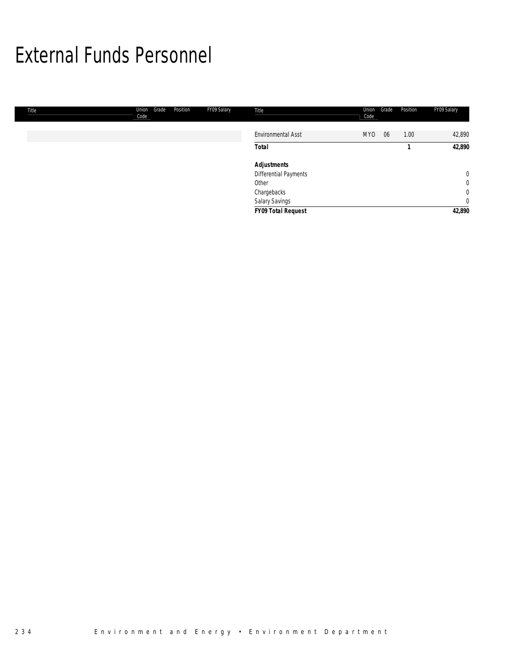### External Funds Personnel

| <b>Title</b> | Union<br>Code | Grade | Position | FY09 Salary | Title                     | Union<br>Code | Grade | Position | FY09 Salary |
|--------------|---------------|-------|----------|-------------|---------------------------|---------------|-------|----------|-------------|
|              |               |       |          |             | <b>Environmental Asst</b> | <b>MYO</b>    | 06    | 1.00     | 42,890      |
|              |               |       |          |             | <b>Total</b>              |               |       |          | 42,890      |
|              |               |       |          |             | <b>Adjustments</b>        |               |       |          |             |
|              |               |       |          |             | Differential Payments     |               |       |          | $\mathbf 0$ |
|              |               |       |          |             | Other                     |               |       |          | $\mathbf 0$ |
|              |               |       |          |             | Chargebacks               |               |       |          | $\mathbf 0$ |
|              |               |       |          |             | Salary Savings            |               |       |          | $\mathbf 0$ |
|              |               |       |          |             | <b>FY09 Total Request</b> |               |       |          | 42,890      |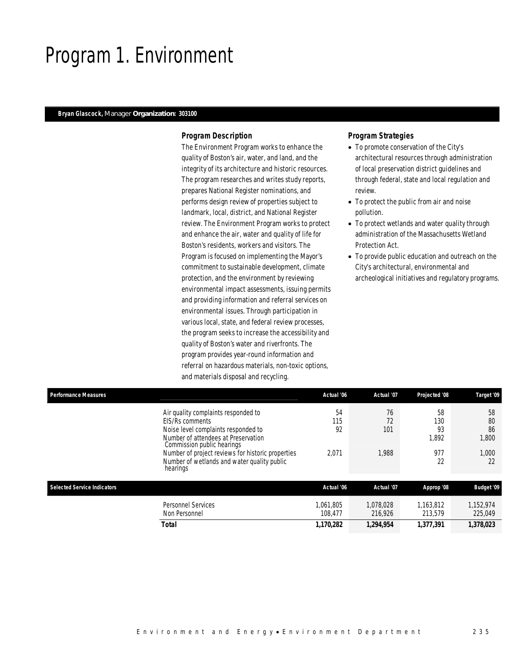### Program 1. Environment

### *Bryan Glascock, Manager Organization: 303100*

### *Program Description*

The Environment Program works to enhance the quality of Boston's air, water, and land, and the integrity of its architecture and historic resources. The program researches and writes study reports, prepares National Register nominations, and performs design review of properties subject to landmark, local, district, and National Register review. The Environment Program works to protect and enhance the air, water and quality of life for Boston's residents, workers and visitors. The Program is focused on implementing the Mayor's commitment to sustainable development, climate protection, and the environment by reviewing environmental impact assessments, issuing permits and providing information and referral services on environmental issues. Through participation in various local, state, and federal review processes, the program seeks to increase the accessibility and quality of Boston's water and riverfronts. The program provides year-round information and referral on hazardous materials, non-toxic options, and materials disposal and recycling.

- To promote conservation of the City's architectural resources through administration of local preservation district guidelines and through federal, state and local regulation and review.
- To protect the public from air and noise pollution.
- To protect wetlands and water quality through administration of the Massachusetts Wetland Protection Act.
- To provide public education and outreach on the City's architectural, environmental and archeological initiatives and regulatory programs.

| <b>Performance Measures</b>        |                                                                                                              | Actual '06           | Actual '07           | Projected '08        | Target '09           |
|------------------------------------|--------------------------------------------------------------------------------------------------------------|----------------------|----------------------|----------------------|----------------------|
|                                    | Air quality complaints responded to                                                                          | 54                   | 76                   | 58                   | 58                   |
|                                    | EIS/Rs comments                                                                                              | 115                  | 72                   | 130                  | 80                   |
|                                    | Noise level complaints responded to                                                                          | 92                   | 101                  | 93                   | 86                   |
|                                    | Number of attendees at Preservation<br>Commission public hearings                                            |                      |                      | 1.892                | 1,800                |
|                                    | Number of project reviews for historic properties<br>Number of wetlands and water quality public<br>hearings | 2,071                | 1,988                | 977<br>22            | 1,000<br>22          |
| <b>Selected Service Indicators</b> |                                                                                                              | Actual '06           | Actual '07           | Approp '08           | <b>Budget '09</b>    |
|                                    | <b>Personnel Services</b><br>Non Personnel                                                                   | 1.061.805<br>108.477 | 1.078.028<br>216,926 | 1.163.812<br>213,579 | 1,152,974<br>225,049 |
|                                    | Total                                                                                                        | 1.170.282            | 1.294.954            | 1.377.391            | 1,378,023            |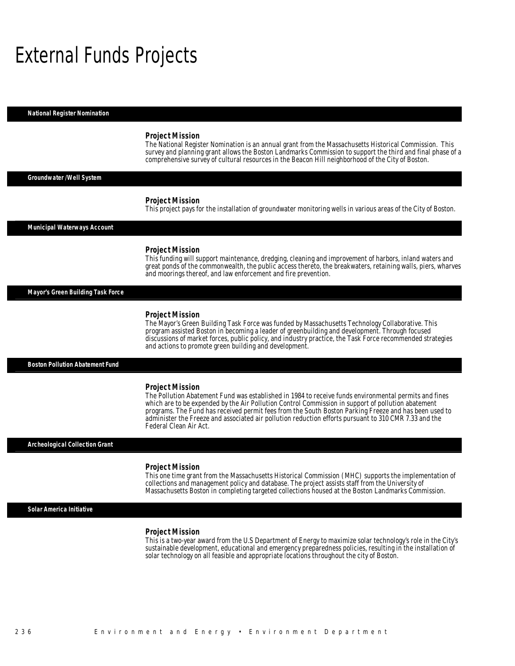### External Funds Projects

*National Register Nomination* 

#### *Project Mission*

The National Register Nomination is an annual grant from the Massachusetts Historical Commission. This survey and planning grant allows the Boston Landmarks Commission to support the third and final phase of a comprehensive survey of cultural resources in the Beacon Hill neighborhood of the City of Boston.

### *Groundwater /Well System*

#### *Project Mission*

This project pays for the installation of groundwater monitoring wells in various areas of the City of Boston.

#### *Municipal Waterways Account*

#### *Project Mission*

This funding will support maintenance, dredging, cleaning and improvement of harbors, inland waters and great ponds of the commonwealth, the public access thereto, the breakwaters, retaining walls, piers, wharves and moorings thereof, and law enforcement and fire prevention.

#### *Mayor's Green Building Task Force*

#### *Project Mission*

The Mayor's Green Building Task Force was funded by Massachusetts Technology Collaborative. This program assisted Boston in becoming a leader of greenbuilding and development. Through focused discussions of market forces, public policy, and industry practice, the Task Force recommended strategies and actions to promote green building and development.

#### *Boston Pollution Abatement Fund*

#### *Project Mission*

The Pollution Abatement Fund was established in 1984 to receive funds environmental permits and fines which are to be expended by the Air Pollution Control Commission in support of pollution abatement programs. The Fund has received permit fees from the South Boston Parking Freeze and has been used to administer the Freeze and associated air pollution reduction efforts pursuant to 310 CMR 7.33 and the Federal Clean Air Act.

#### *Archeological Collection Grant*

#### *Project Mission*

This one time grant from the Massachusetts Historical Commission (MHC) supports the implementation of collections and management policy and database. The project assists staff from the University of Massachusetts Boston in completing targeted collections housed at the Boston Landmarks Commission.

### *Solar America Initiative*

#### *Project Mission*

This is a two-year award from the U.S Department of Energy to maximize solar technology's role in the City's sustainable development, educational and emergency preparedness policies, resulting in the installation of solar technology on all feasible and appropriate locations throughout the city of Boston.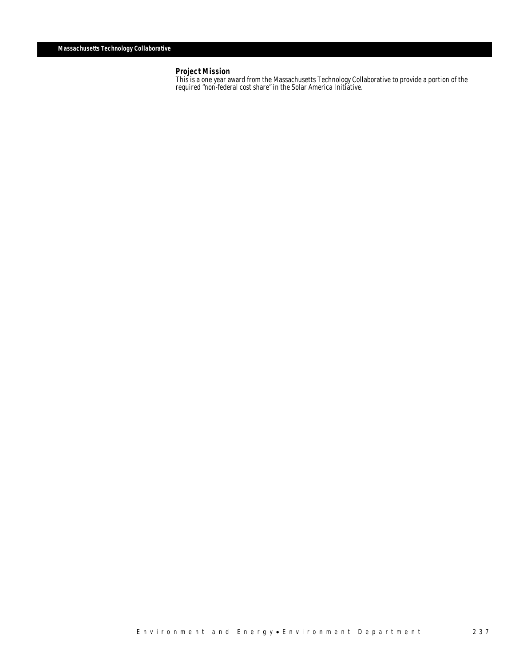*Project Mission*<br>This is a one year award from the Massachusetts Technology Collaborative to provide a portion of the required "non-federal cost share" in the Solar America Initiative.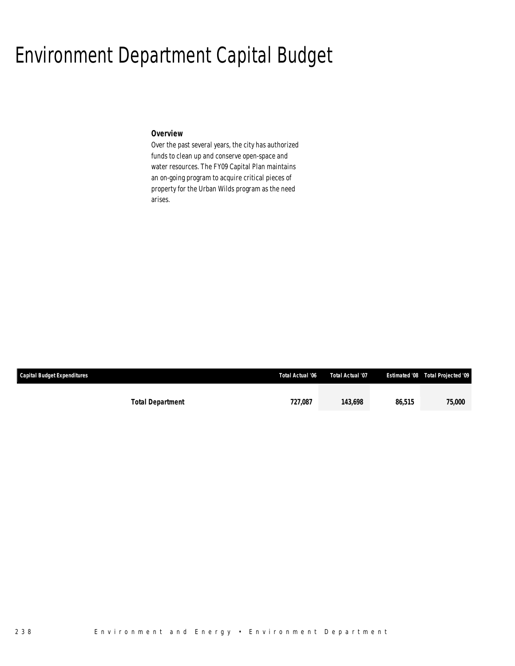### Environment Department Capital Budget

### *Overview*

Over the past several years, the city has authorized funds to clean up and conserve open-space and water resources. The FY09 Capital Plan maintains an on-going program to acquire critical pieces of property for the Urban Wilds program as the need arises.

| <b>Capital Budget Expenditures</b> |                         | Total Actual '06 | Total Actual '07 |        | <b>Estimated '08 Total Projected '09</b> |
|------------------------------------|-------------------------|------------------|------------------|--------|------------------------------------------|
|                                    |                         |                  |                  |        |                                          |
|                                    | <b>Total Department</b> | 727,087          | 143.698          | 86,515 | 75,000                                   |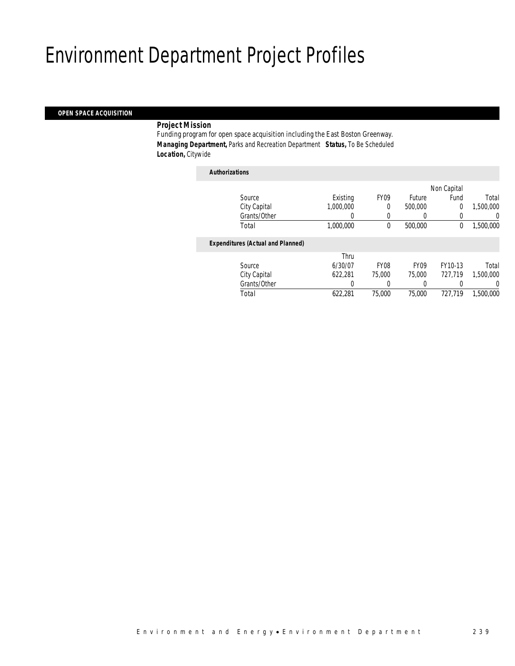## Environment Department Project Profiles

### *OPEN SPACE ACQUISITION*

### *Project Mission*

Funding program for open space acquisition including the East Boston Greenway. *Managing Department,* Parks and Recreation Department *Status,* To Be Scheduled *Location,* Citywide

### *Authorizations* Source **Existing** FY09 Future Non Capital Fund Total City Capital 1,000,000 0 500,000 0 1,500,000 Grants/Other 0 0 0 0 0 0 Total 1,000,000 0 500,000 0 1,500,000*Expenditures (Actual and Planned)* Source Thru 6/30/07 FY08 FY09 FY10-13 Total City Capital 622,281 75,000 75,000 727,719 1,500,000 Grants/Other 0 0 0 0 0 0 Total 622,281 75,000 75,000 727,719 1,500,000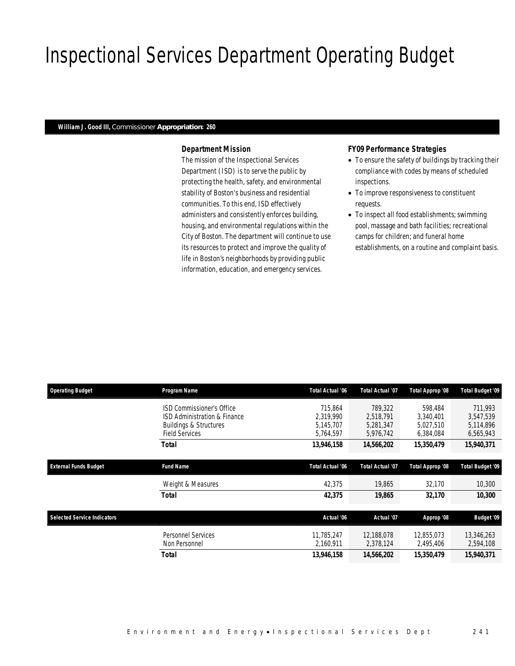# Inspectional Services Department Operating Budget

### *William J. Good III, Commissioner Appropriation: 260*

### *Department Mission*

The mission of the Inspectional Services Department (ISD) is to serve the public by protecting the health, safety, and environmental stability of Boston's business and residential communities. To this end, ISD effectively administers and consistently enforces building, housing, and environmental regulations within the City of Boston. The department will continue to use its resources to protect and improve the quality of life in Boston's neighborhoods by providing public information, education, and emergency services.

### *FY09 Performance Strategies*

- To ensure the safety of buildings by tracking their compliance with codes by means of scheduled inspections.
- To improve responsiveness to constituent requests.
- To inspect all food establishments; swimming pool, massage and bath facilities; recreational camps for children; and funeral home establishments, on a routine and complaint basis.

| <b>Operating Budget</b>            | Program Name                                               | <b>Total Actual '06</b> | <b>Total Actual '07</b> | Total Approp '08        | <b>Total Budget '09</b> |
|------------------------------------|------------------------------------------------------------|-------------------------|-------------------------|-------------------------|-------------------------|
|                                    | ISD Commissioner's Office<br>ISD Administration & Finance  | 715.864<br>2.319.990    | 789,322<br>2.518.791    | 598,484<br>3.340.401    | 711,993<br>3.547.539    |
|                                    | <b>Buildings &amp; Structures</b><br><b>Field Services</b> | 5,145,707<br>5,764,597  | 5,281,347<br>5,976,742  | 5,027,510<br>6,384,084  | 5,114,896<br>6,565,943  |
|                                    | Total                                                      | 13,946,158              | 14,566,202              | 15,350,479              | 15,940,371              |
| <b>External Funds Budget</b>       | <b>Fund Name</b>                                           | <b>Total Actual '06</b> | <b>Total Actual '07</b> | Total Approp '08        | <b>Total Budget '09</b> |
|                                    | Weight & Measures                                          | 42,375                  | 19,865                  | 32,170                  | 10,300                  |
|                                    | Total                                                      | 42,375                  | 19,865                  | 32,170                  | 10,300                  |
| <b>Selected Service Indicators</b> |                                                            | Actual '06              | Actual '07              | Approp '08              | <b>Budget '09</b>       |
|                                    | <b>Personnel Services</b><br>Non Personnel                 | 11.785.247<br>2,160,911 | 12.188.078<br>2,378,124 | 12.855.073<br>2,495,406 | 13,346,263<br>2,594,108 |
|                                    | Total                                                      | 13,946,158              | 14,566,202              | 15,350,479              | 15,940,371              |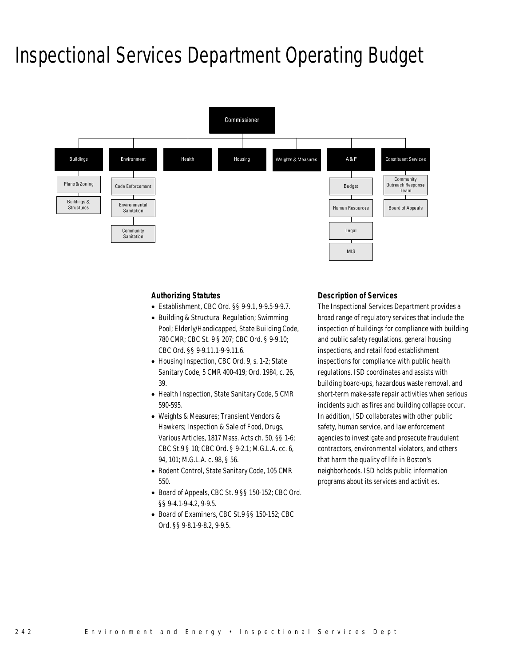### Inspectional Services Department Operating Budget



### *Authorizing Statutes*

- Establishment, CBC Ord. §§ 9-9.1, 9-9.5-9-9.7.
- Building & Structural Regulation; Swimming Pool; Elderly/Handicapped, State Building Code, 780 CMR; CBC St. 9 § 207; CBC Ord. § 9-9.10; CBC Ord. §§ 9-9.11.1-9-9.11.6.
- Housing Inspection, CBC Ord. 9, s. 1-2; State Sanitary Code, 5 CMR 400-419; Ord. 1984, c. 26, 39.
- Health Inspection, State Sanitary Code, 5 CMR 590-595.
- Weights & Measures; Transient Vendors & Hawkers; Inspection & Sale of Food, Drugs, Various Articles, 1817 Mass. Acts ch. 50, §§ 1-6; CBC St.9 § 10; CBC Ord. § 9-2.1; M.G.L.A. cc. 6, 94, 101; M.G.L.A. c. 98, § 56.
- Rodent Control, State Sanitary Code, 105 CMR 550.
- Board of Appeals, CBC St. 9 §§ 150-152; CBC Ord. §§ 9-4.1-9-4.2, 9-9.5.
- Board of Examiners, CBC St.9 §§ 150-152; CBC Ord. §§ 9-8.1-9-8.2, 9-9.5.

### *Description of Services*

The Inspectional Services Department provides a broad range of regulatory services that include the inspection of buildings for compliance with building and public safety regulations, general housing inspections, and retail food establishment inspections for compliance with public health regulations. ISD coordinates and assists with building board-ups, hazardous waste removal, and short-term make-safe repair activities when serious incidents such as fires and building collapse occur. In addition, ISD collaborates with other public safety, human service, and law enforcement agencies to investigate and prosecute fraudulent contractors, environmental violators, and others that harm the quality of life in Boston's neighborhoods. ISD holds public information programs about its services and activities.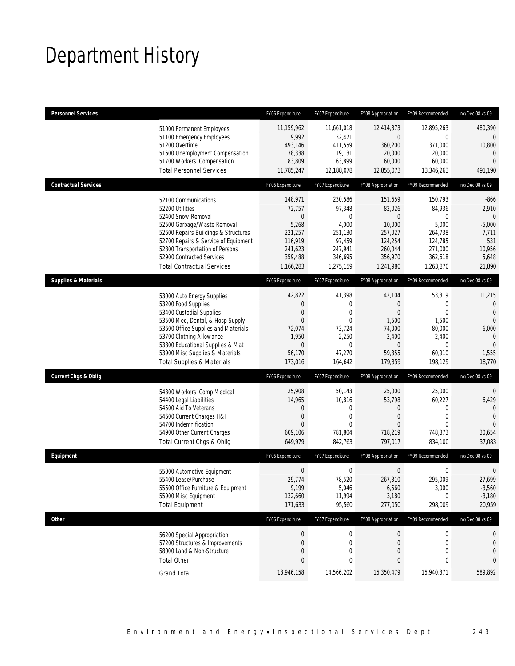# Department History

| <b>Personnel Services</b>                                                                                                                                                                                                                                                                            | FY06 Expenditure                                                                    | FY07 Expenditure                                                                                                           | FY08 Appropriation                                                                                | FY09 Recommended                                                                         | Inc/Dec 08 vs 09                                                                               |
|------------------------------------------------------------------------------------------------------------------------------------------------------------------------------------------------------------------------------------------------------------------------------------------------------|-------------------------------------------------------------------------------------|----------------------------------------------------------------------------------------------------------------------------|---------------------------------------------------------------------------------------------------|------------------------------------------------------------------------------------------|------------------------------------------------------------------------------------------------|
| 51000 Permanent Employees<br>51100 Emergency Employees<br>51200 Overtime<br>51600 Unemployment Compensation<br>51700 Workers' Compensation<br><b>Total Personnel Services</b>                                                                                                                        | 11,159,962<br>9,992<br>493,146<br>38,338<br>83,809<br>11,785,247                    | 11,661,018<br>32,471<br>411,559<br>19,131<br>63,899<br>12,188,078                                                          | 12,414,873<br>$\overline{0}$<br>360,200<br>20,000<br>60,000<br>12,855,073                         | 12,895,263<br>0<br>371,000<br>20,000<br>60,000<br>13,346,263                             | 480,390<br>0<br>10,800<br>$\mathbf{0}$<br>$\Omega$<br>491,190                                  |
| <b>Contractual Services</b>                                                                                                                                                                                                                                                                          | FY06 Expenditure                                                                    | FY07 Expenditure                                                                                                           | FY08 Appropriation                                                                                | FY09 Recommended                                                                         | Inc/Dec 08 vs 09                                                                               |
| 52100 Communications<br>52200 Utilities<br>52400 Snow Removal<br>52500 Garbage/Waste Removal<br>52600 Repairs Buildings & Structures<br>52700 Repairs & Service of Equipment<br>52800 Transportation of Persons<br>52900 Contracted Services<br><b>Total Contractual Services</b>                    | 148,971<br>72,757<br>5,268<br>221,257<br>116,919<br>241,623<br>359,488<br>1,166,283 | 230,586<br>97,348<br>$\overline{0}$<br>0<br>4,000<br>251,130<br>97,459<br>247,941<br>346,695<br>1,275,159                  | 151,659<br>82,026<br>$\theta$<br>10,000<br>257,027<br>124,254<br>260,044<br>356,970<br>1,241,980  | 150,793<br>84,936<br>0<br>5,000<br>264,738<br>124,785<br>271,000<br>362,618<br>1,263,870 | $-866$<br>2,910<br>$\overline{0}$<br>$-5,000$<br>7,711<br>531<br>10,956<br>5,648<br>21,890     |
| <b>Supplies &amp; Materials</b>                                                                                                                                                                                                                                                                      | FY06 Expenditure                                                                    | FY07 Expenditure                                                                                                           | FY08 Appropriation                                                                                | FY09 Recommended                                                                         | Inc/Dec 08 vs 09                                                                               |
| 53000 Auto Energy Supplies<br>53200 Food Supplies<br>53400 Custodial Supplies<br>53500 Med, Dental, & Hosp Supply<br>53600 Office Supplies and Materials<br>53700 Clothing Allowance<br>53800 Educational Supplies & Mat<br>53900 Misc Supplies & Materials<br><b>Total Supplies &amp; Materials</b> | 42,822<br>$\mathbf{0}$<br>$\mathbf{0}$<br>72,074<br>1,950<br>56,170<br>173,016      | 41,398<br>0<br>$\mathbf 0$<br>0<br>$\overline{0}$<br>73,724<br>2,250<br>$\mathbf 0$<br>$\overline{0}$<br>47,270<br>164,642 | 42,104<br>$\theta$<br>$\overline{0}$<br>1,500<br>74,000<br>2,400<br>$\theta$<br>59,355<br>179,359 | 53,319<br>0<br>$\mathbf{0}$<br>1,500<br>80,000<br>2,400<br>0<br>60,910<br>198,129        | 11,215<br>$\theta$<br>$\theta$<br>$\Omega$<br>6,000<br>$\Omega$<br>$\theta$<br>1,555<br>18,770 |
| <b>Current Chgs &amp; Oblig</b>                                                                                                                                                                                                                                                                      | FY06 Expenditure                                                                    | FY07 Expenditure                                                                                                           | FY08 Appropriation                                                                                | FY09 Recommended                                                                         | Inc/Dec 08 vs 09                                                                               |
| 54300 Workers' Comp Medical<br>54400 Legal Liabilities<br>54500 Aid To Veterans<br>54600 Current Charges H&I<br>54700 Indemnification<br>54900 Other Current Charges<br>Total Current Chgs & Oblig                                                                                                   | 25,908<br>14,965<br>$\mathbf 0$<br>$\mathbf{0}$<br>609,106<br>649,979               | 50,143<br>10,816<br>0<br>0<br>$\mathbf 0$<br>$\Omega$<br>781,804<br>842,763                                                | 25,000<br>53,798<br>$\theta$<br>$\theta$<br>$\Omega$<br>718,219<br>797,017                        | 25,000<br>60,227<br>$\mathbf{0}$<br>$\mathbf 0$<br>$\theta$<br>748,873<br>834,100        | $\overline{0}$<br>6,429<br>$\theta$<br>$\Omega$<br>$\theta$<br>30,654<br>37,083                |
| Equipment                                                                                                                                                                                                                                                                                            | FY06 Expenditure                                                                    | FY07 Expenditure                                                                                                           | FY08 Appropriation                                                                                | FY09 Recommended                                                                         | Inc/Dec 08 vs 09                                                                               |
| 55000 Automotive Equipment<br>55400 Lease/Purchase<br>55600 Office Furniture & Equipment<br>55900 Misc Equipment<br><b>Total Equipment</b>                                                                                                                                                           | 29,774<br>9,199<br>132,660<br>171,633                                               | $\mathbf 0$<br>0<br>78,520<br>5,046<br>11,994<br>95,560                                                                    | $\boldsymbol{0}$<br>267,310<br>6,560<br>3,180<br>277,050                                          | $\boldsymbol{0}$<br>295,009<br>3,000<br>$\mathbf{0}$<br>298,009                          | 0<br>27,699<br>$-3,560$<br>$-3,180$<br>20,959                                                  |
| <b>Other</b>                                                                                                                                                                                                                                                                                         | FY06 Expenditure                                                                    | FY07 Expenditure                                                                                                           | FY08 Appropriation                                                                                | FY09 Recommended                                                                         | Inc/Dec 08 vs 09                                                                               |
| 56200 Special Appropriation<br>57200 Structures & Improvements<br>58000 Land & Non-Structure<br><b>Total Other</b>                                                                                                                                                                                   | $\boldsymbol{0}$<br>0                                                               | $\boldsymbol{0}$<br>0<br>$\mathbf 0$<br>0<br>0<br>0                                                                        | $\theta$<br>$\theta$<br>$\theta$<br>$\bf{0}$                                                      | 0<br>$\mathbf 0$<br>$\mathbf 0$<br>0                                                     | 0<br>0<br>0<br>0                                                                               |
| <b>Grand Total</b>                                                                                                                                                                                                                                                                                   | 13,946,158                                                                          | 14,566,202                                                                                                                 | 15,350,479                                                                                        | 15,940,371                                                                               | 589,892                                                                                        |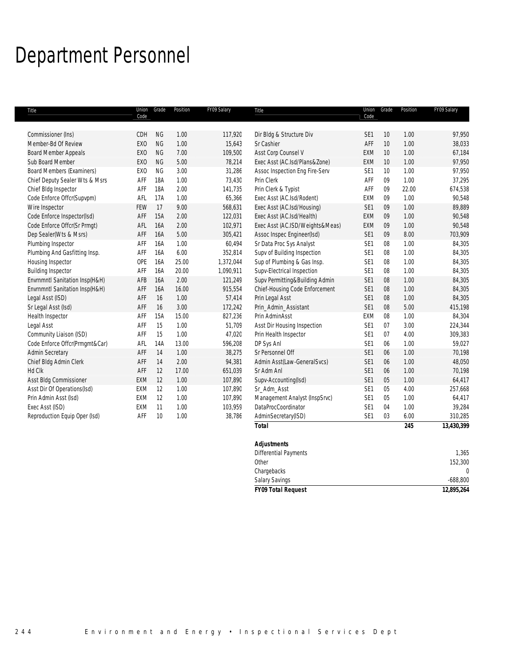# Department Personnel

| Title                            | Code            | Union Grade | Position | FY09 Salary | Title                           | Code            | Union Grade | Position | FY09 Salary |
|----------------------------------|-----------------|-------------|----------|-------------|---------------------------------|-----------------|-------------|----------|-------------|
|                                  |                 |             |          |             |                                 |                 |             |          |             |
| Commissioner (Ins)               | CDH             | <b>NG</b>   | 1.00     | 117,920     | Dir Bldg & Structure Div        | SE <sub>1</sub> | 10          | 1.00     | 97,950      |
| Member-Bd Of Review              | <b>EXO</b>      | <b>NG</b>   | 1.00     | 15,643      | Sr Cashier                      | AFF             | 10          | 1.00     | 38,033      |
| <b>Board Member Appeals</b>      | <b>EXO</b>      | <b>NG</b>   | 7.00     | 109,500     | Asst Corp Counsel V             | <b>EXM</b>      | 10          | 1.00     | 67,184      |
| Sub Board Member                 | EX <sub>0</sub> | <b>NG</b>   | 5.00     | 78,214      | Exec Asst (AC.Isd/Plans&Zone)   | EXM             | 10          | 1.00     | 97,950      |
| <b>Board Members (Examiners)</b> | EXO             | <b>NG</b>   | 3.00     | 31,286      | Assoc Inspection Eng Fire-Serv  | SE <sub>1</sub> | 10          | 1.00     | 97,950      |
| Chief Deputy Sealer Wts & Msrs   | AFF             | <b>18A</b>  | 1.00     | 73,430      | Prin Clerk                      | AFF             | 09          | 1.00     | 37,295      |
| Chief Bldg Inspector             | AFF             | <b>18A</b>  | 2.00     | 141,735     | Prin Clerk & Typist             | AFF             | 09          | 22.00    | 674,538     |
| Code Enforce Offcr(Supvpm)       | AFL             | 17A         | 1.00     | 65,366      | Exec Asst (AC.Isd/Rodent)       | EXM             | 09          | 1.00     | 90,548      |
| Wire Inspector                   | FEW             | 17          | 9.00     | 568,631     | Exec Asst (AC.Isd/Housing)      | SE <sub>1</sub> | 09          | 1.00     | 89,889      |
| Code Enforce Inspector(Isd)      | AFF             | 15A         | 2.00     | 122,031     | Exec Asst (AC.Isd/Health)       | EXM             | 09          | 1.00     | 90,548      |
| Code Enforce Offcr(Sr Prmgt)     | AFL             | 16A         | 2.00     | 102,971     | Exec Asst (AC.ISD/Weights&Meas) | EXM             | 09          | 1.00     | 90,548      |
| Dep Sealer(Wts & Msrs)           | AFF             | 16A         | 5.00     | 305,421     | Assoc Inspec Engineer(Isd)      | SE1             | 09          | 8.00     | 703,909     |
| Plumbing Inspector               | AFF             | 16A         | 1.00     | 60,494      | Sr Data Proc Sys Analyst        | SE1             | 08          | 1.00     | 84,305      |
| Plumbing And Gasfitting Insp.    | AFF             | 16A         | 6.00     | 352,814     | Supv of Building Inspection     | SE <sub>1</sub> | 08          | 1.00     | 84,305      |
| Housing Inspector                | OPE             | 16A         | 25.00    | 1,372,044   | Sup of Plumbing & Gas Insp.     | SE <sub>1</sub> | 08          | 1.00     | 84,305      |
| <b>Building Inspector</b>        | AFF             | 16A         | 20.00    | 1,090,911   | Supv-Electrical Inspection      | SE <sub>1</sub> | 08          | 1.00     | 84,305      |
| Envrnmntl Sanitation Insp(H&H)   | AFB             | 16A         | 2.00     | 121,249     | Supv Permitting&Building Admin  | SE1             | 08          | 1.00     | 84,305      |
| Envrnmntl Sanitation Insp(H&H)   | AFF             | 16A         | 16.00    | 915,554     | Chief-Housing Code Enforcement  | SE1             | 08          | 1.00     | 84,305      |
| Legal Asst (ISD)                 | AFF             | 16          | 1.00     | 57,414      | Prin Legal Asst                 | SE1             | 08          | 1.00     | 84,305      |
| Sr Legal Asst (Isd)              | AFF             | 16          | 3.00     | 172,242     | Prin_Admin_Assistant            | SE1             | 08          | 5.00     | 415,198     |
| Health Inspector                 | AFF             | 15A         | 15.00    | 827,236     | Prin AdminAsst                  | EXM             | 08          | 1.00     | 84,304      |
| Legal Asst                       | AFF             | 15          | 1.00     | 51,709      | Asst Dir Housing Inspection     | SE <sub>1</sub> | 07          | 3.00     | 224,344     |
| Community Liaison (ISD)          | AFF             | 15          | 1.00     | 47,020      | Prin Health Inspector           | SE1             | 07          | 4.00     | 309,383     |
| Code Enforce Offcr(Prmgmt&Car)   | AFL             | 14A         | 13.00    | 596,208     | DP Sys Anl                      | SE <sub>1</sub> | 06          | 1.00     | 59,027      |
| Admin Secretary                  | AFF             | 14          | 1.00     | 38,275      | Sr Personnel Off                | SE1             | 06          | 1.00     | 70,198      |
| Chief Bldg Admin Clerk           | AFF             | 14          | 2.00     | 94,381      | Admin Asst(Law-GeneralSvcs)     | SE <sub>1</sub> | 06          | 1.00     | 48,050      |
| Hd Clk                           | AFF             | 12          | 17.00    | 651,039     | Sr Adm Anl                      | SE1             | 06          | 1.00     | 70,198      |
| Asst Bldg Commissioner           | EXM             | 12          | 1.00     | 107,890     | Supv-Accounting(Isd)            | SE1             | 05          | 1.00     | 64,417      |
| Asst Dir Of Operations(Isd)      | EXM             | 12          | 1.00     | 107,890     | Sr_Adm_Asst                     | SE1             | 05          | 4.00     | 257,668     |
| Prin Admin Asst (Isd)            | EXM             | 12          | 1.00     | 107,890     | Management Analyst (InspSrvc)   | SE <sub>1</sub> | 05          | 1.00     | 64,417      |
| Exec Asst (ISD)                  | EXM             | 11          | 1.00     | 103,959     | DataProcCoordinator             | SE <sub>1</sub> | 04          | 1.00     | 39,284      |
| Reproduction Equip Oper (Isd)    | AFF             | 10          | 1.00     | 38,786      | AdminSecretary(ISD)             | SE <sub>1</sub> | 03          | 6.00     | 310,285     |
|                                  |                 |             |          |             | <b>Total</b>                    |                 |             | 245      | 13,430,399  |
|                                  |                 |             |          |             | <b>Adjustments</b>              |                 |             |          |             |
|                                  |                 |             |          |             | <b>Differential Payments</b>    |                 |             |          | 1,365       |

| <b>FY09 Total Request</b> | 12,895,264 |
|---------------------------|------------|
| <b>Salary Savings</b>     | $-688,800$ |
| Chargebacks               |            |
| Other                     | 152,300    |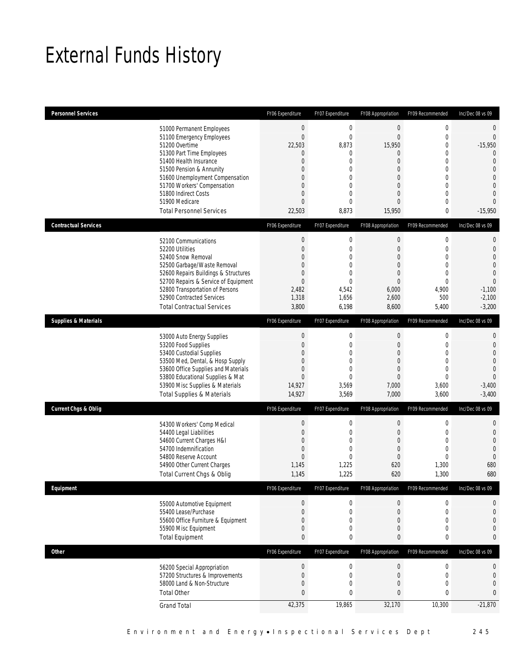## External Funds History

| <b>Personnel Services</b>       |                                                                                                                                                                                                                                                                                                            | FY06 Expenditure                                                                                                                                        | FY07 Expenditure                                                                                                                      | FY08 Appropriation                                                                              | FY09 Recommended                                                  | Inc/Dec 08 vs 09                                                                                                                                                       |
|---------------------------------|------------------------------------------------------------------------------------------------------------------------------------------------------------------------------------------------------------------------------------------------------------------------------------------------------------|---------------------------------------------------------------------------------------------------------------------------------------------------------|---------------------------------------------------------------------------------------------------------------------------------------|-------------------------------------------------------------------------------------------------|-------------------------------------------------------------------|------------------------------------------------------------------------------------------------------------------------------------------------------------------------|
|                                 | 51000 Permanent Employees<br>51100 Emergency Employees<br>51200 Overtime<br>51300 Part Time Employees<br>51400 Health Insurance<br>51500 Pension & Annunity<br>51600 Unemployment Compensation<br>51700 Workers' Compensation<br>51800 Indirect Costs<br>51900 Medicare<br><b>Total Personnel Services</b> | $\boldsymbol{0}$<br>$\overline{0}$<br>22,503<br>0<br>$\overline{0}$<br>$\Omega$<br>$\Omega$<br>$\mathbf{0}$<br>$\mathbf{0}$<br>$\overline{0}$<br>22,503 | $\boldsymbol{0}$<br>$\overline{0}$<br>8,873<br>0<br>$\mathbf 0$<br>0<br>$\mathbf 0$<br>$\boldsymbol{0}$<br>0<br>$\mathbf{0}$<br>8,873 | $\mathbf 0$<br>$\mathbf{0}$<br>15,950<br>0<br>0<br>0<br>0<br>0<br>0<br>$\overline{0}$<br>15,950 | 0<br>0<br>0<br>0<br>$\theta$<br>0<br>$\Omega$<br>0<br>0<br>0<br>0 | $\mathbf 0$<br>$\theta$<br>$-15,950$<br>$\mathbf 0$<br>$\overline{0}$<br>$\overline{0}$<br>$\overline{0}$<br>$\Omega$<br>$\overline{0}$<br>$\overline{0}$<br>$-15,950$ |
| <b>Contractual Services</b>     |                                                                                                                                                                                                                                                                                                            | FY06 Expenditure                                                                                                                                        | FY07 Expenditure                                                                                                                      | FY08 Appropriation                                                                              | FY09 Recommended                                                  | Inc/Dec 08 vs 09                                                                                                                                                       |
|                                 | 52100 Communications<br>52200 Utilities<br>52400 Snow Removal<br>52500 Garbage/Waste Removal<br>52600 Repairs Buildings & Structures<br>52700 Repairs & Service of Equipment<br>52800 Transportation of Persons<br>52900 Contracted Services<br><b>Total Contractual Services</b>                          | $\boldsymbol{0}$<br>$\overline{0}$<br>$\Omega$<br>$\mathbf{0}$<br>0<br>$\mathbf 0$<br>2,482<br>1,318<br>3,800                                           | $\boldsymbol{0}$<br>$\boldsymbol{0}$<br>$\mathbf 0$<br>$\mathbf 0$<br>$\mathbf{0}$<br>$\boldsymbol{0}$<br>4,542<br>1,656<br>6,198     | $\boldsymbol{0}$<br>$\mathbf 0$<br>0<br>0<br>0<br>$\boldsymbol{0}$<br>6,000<br>2,600<br>8,600   | 0<br>0<br>$\Omega$<br>0<br>0<br>0<br>4,900<br>500<br>5,400        | $\mathbf{0}$<br>$\mathbf{0}$<br>$\overline{0}$<br>$\overline{0}$<br>$\overline{0}$<br>$\overline{0}$<br>$-1,100$<br>$-2,100$<br>$-3,200$                               |
| <b>Supplies &amp; Materials</b> |                                                                                                                                                                                                                                                                                                            | FY06 Expenditure                                                                                                                                        | FY07 Expenditure                                                                                                                      | FY08 Appropriation                                                                              | FY09 Recommended                                                  | Inc/Dec 08 vs 09                                                                                                                                                       |
|                                 | 53000 Auto Energy Supplies<br>53200 Food Supplies<br>53400 Custodial Supplies<br>53500 Med, Dental, & Hosp Supply<br>53600 Office Supplies and Materials<br>53800 Educational Supplies & Mat<br>53900 Misc Supplies & Materials<br><b>Total Supplies &amp; Materials</b>                                   | $\boldsymbol{0}$<br>$\overline{0}$<br>$\Omega$<br>$\Omega$<br>0<br>$\overline{0}$<br>14,927<br>14,927                                                   | $\boldsymbol{0}$<br>$\boldsymbol{0}$<br>$\mathbf 0$<br>$\mathbf 0$<br>$\mathbf 0$<br>$\mathbf 0$<br>3,569<br>3,569                    | $\boldsymbol{0}$<br>0<br>0<br>$\mathbf 0$<br>0<br>$\boldsymbol{0}$<br>7,000<br>7,000            | 0<br>0<br>0<br>$\mathbf{0}$<br>0<br>0<br>3,600<br>3,600           | $\mathbf{0}$<br>$\mathbf{0}$<br>$\overline{0}$<br>$\overline{0}$<br>$\overline{0}$<br>$\Omega$<br>$-3,400$<br>$-3,400$                                                 |
| <b>Current Chgs &amp; Oblig</b> |                                                                                                                                                                                                                                                                                                            | FY06 Expenditure                                                                                                                                        | FY07 Expenditure                                                                                                                      | FY08 Appropriation                                                                              | FY09 Recommended                                                  | Inc/Dec 08 vs 09                                                                                                                                                       |
|                                 | 54300 Workers' Comp Medical<br>54400 Legal Liabilities<br>54600 Current Charges H&I<br>54700 Indemnification<br>54800 Reserve Account<br>54900 Other Current Charges<br>Total Current Chgs & Oblig                                                                                                         | $\boldsymbol{0}$<br>0<br>0<br>$\overline{0}$<br>$\mathbf 0$<br>1,145<br>1,145                                                                           | 0<br>0<br>$\mathbf 0$<br>$\mathbf 0$<br>$\mathbf 0$<br>1,225<br>1,225                                                                 | $\boldsymbol{0}$<br>0<br>0<br>0<br>$\boldsymbol{0}$<br>620<br>620                               | 0<br>0<br>0<br>0<br>0<br>1,300<br>1,300                           | $\mathbf 0$<br>$\mathbf{0}$<br>$\mathbf{0}$<br>$\overline{0}$<br>$\overline{0}$<br>680<br>680                                                                          |
| Equipment                       |                                                                                                                                                                                                                                                                                                            | FY06 Expenditure                                                                                                                                        | FY07 Expenditure                                                                                                                      | FY08 Appropriation                                                                              | FY09 Recommended                                                  | Inc/Dec 08 vs 09                                                                                                                                                       |
|                                 | 55000 Automotive Equipment<br>55400 Lease/Purchase<br>55600 Office Furniture & Equipment<br>55900 Misc Equipment<br><b>Total Equipment</b>                                                                                                                                                                 | $\boldsymbol{0}$<br>$\mathbf 0$<br>0<br>0<br>$\mathbf{0}$                                                                                               | 0<br>$\boldsymbol{0}$<br>$\boldsymbol{0}$<br>0<br>0                                                                                   | $\boldsymbol{0}$<br>$\mathbf 0$<br>0<br>0<br>0                                                  | 0<br>0<br>0<br>0<br>0                                             | $\boldsymbol{0}$<br>$\mathbf{0}$<br>0<br>$\overline{0}$<br>$\boldsymbol{0}$                                                                                            |
| <b>Other</b>                    |                                                                                                                                                                                                                                                                                                            | FY06 Expenditure                                                                                                                                        | FY07 Expenditure                                                                                                                      | FY08 Appropriation                                                                              | FY09 Recommended                                                  | Inc/Dec 08 vs 09                                                                                                                                                       |
|                                 | 56200 Special Appropriation<br>57200 Structures & Improvements<br>58000 Land & Non-Structure<br><b>Total Other</b>                                                                                                                                                                                         | $\boldsymbol{0}$<br>$\mathbf 0$<br>0<br>$\mathbf{0}$                                                                                                    | $\boldsymbol{0}$<br>$\boldsymbol{0}$<br>0<br>$\mathbf 0$                                                                              | $\mathbf 0$<br>$\boldsymbol{0}$<br>0<br>0                                                       | $\boldsymbol{0}$<br>0<br>0<br>0                                   | $\boldsymbol{0}$<br>$\mathbf 0$<br>$\overline{0}$<br>$\mathbf 0$                                                                                                       |
|                                 | <b>Grand Total</b>                                                                                                                                                                                                                                                                                         | 42,375                                                                                                                                                  | 19,865                                                                                                                                | 32,170                                                                                          | 10,300                                                            | $-21,870$                                                                                                                                                              |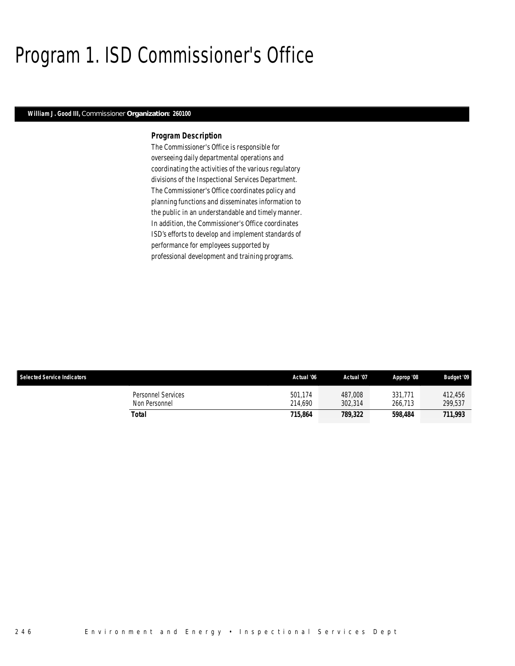### Program 1. ISD Commissioner's Office

### *William J. Good III, Commissioner Organization: 260100*

### *Program Description*

The Commissioner's Office is responsible for overseeing daily departmental operations and coordinating the activities of the various regulatory divisions of the Inspectional Services Department. The Commissioner's Office coordinates policy and planning functions and disseminates information to the public in an understandable and timely manner. In addition, the Commissioner's Office coordinates ISD's efforts to develop and implement standards of performance for employees supported by professional development and training programs.

| <b>Selected Service Indicators</b>  | Actual '06         | Actual '07         | Approp '08         | <b>Budget '09</b>  |
|-------------------------------------|--------------------|--------------------|--------------------|--------------------|
| Personnel Services<br>Non Personnel | 501.174<br>214.690 | 487.008<br>302,314 | 331.771<br>266.713 | 412.456<br>299,537 |
| Total                               | 715.864            | 789.322            | 598.484            | 711,993            |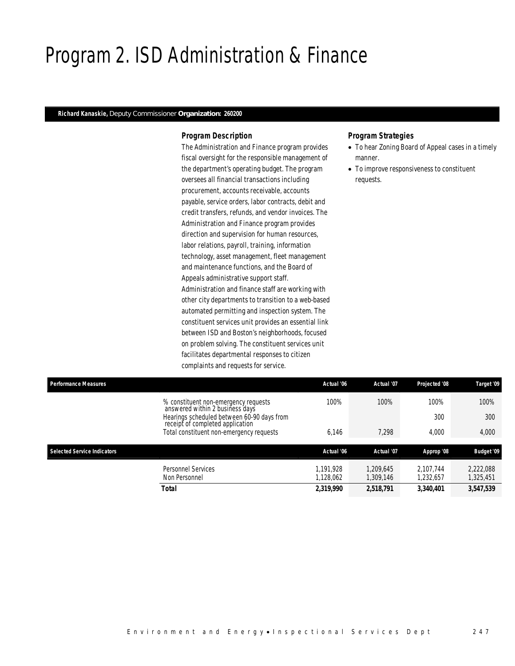### Program 2. ISD Administration & Finance

### *Richard Kanaskie, Deputy Commissioner Organization: 260200*

### *Program Description*

The Administration and Finance program provides fiscal oversight for the responsible management of the department's operating budget. The program oversees all financial transactions including procurement, accounts receivable, accounts payable, service orders, labor contracts, debit and credit transfers, refunds, and vendor invoices. The Administration and Finance program provides direction and supervision for human resources, labor relations, payroll, training, information technology, asset management, fleet management and maintenance functions, and the Board of Appeals administrative support staff. Administration and finance staff are working with other city departments to transition to a web-based automated permitting and inspection system. The constituent services unit provides an essential link between ISD and Boston's neighborhoods, focused on problem solving. The constituent services unit facilitates departmental responses to citizen complaints and requests for service.

- To hear Zoning Board of Appeal cases in a timely manner.
- To improve responsiveness to constituent requests.

| <b>Performance Measures</b>        |                                                                                | Actual '06           | Actual '07             | Projected '08          | Target '09             |
|------------------------------------|--------------------------------------------------------------------------------|----------------------|------------------------|------------------------|------------------------|
|                                    | % constituent non-emergency requests<br>answered within 2 business days        | 100%                 | 100%                   | 100%                   | 100%                   |
|                                    | Hearings scheduled between 60-90 days from<br>receipt of completed application |                      |                        | 300                    | 300                    |
|                                    | Total constituent non-emergency requests                                       | 6.146                | 7.298                  | 4.000                  | 4,000                  |
| <b>Selected Service Indicators</b> |                                                                                | Actual '06           | Actual '07             | Approp '08             | <b>Budget '09</b>      |
|                                    | Personnel Services<br>Non Personnel                                            | .191.928<br>.128.062 | 1.209.645<br>1.309.146 | 2.107.744<br>1,232,657 | 2,222,088<br>1,325,451 |
|                                    | <b>Total</b>                                                                   | 2,319,990            | 2,518,791              | 3.340.401              | 3,547,539              |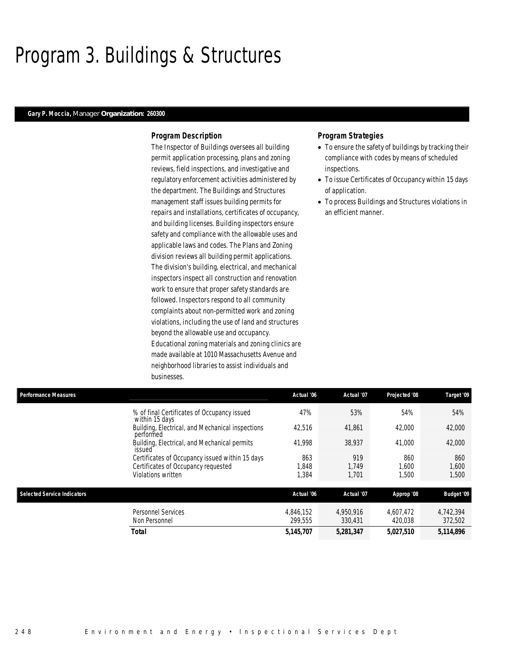### Program 3. Buildings & Structures

### *Gary P. Moccia, Manager Organization: 260300*

### *Program Description*

The Inspector of Buildings oversees all building permit application processing, plans and zoning reviews, field inspections, and investigative and regulatory enforcement activities administered by the department. The Buildings and Structures management staff issues building permits for repairs and installations, certificates of occupancy, and building licenses. Building inspectors ensure safety and compliance with the allowable uses and applicable laws and codes. The Plans and Zoning division reviews all building permit applications. The division's building, electrical, and mechanical inspectors inspect all construction and renovation work to ensure that proper safety standards are followed. Inspectors respond to all community complaints about non-permitted work and zoning violations, including the use of land and structures beyond the allowable use and occupancy. Educational zoning materials and zoning clinics are made available at 1010 Massachusetts Avenue and neighborhood libraries to assist individuals and businesses.

- To ensure the safety of buildings by tracking their compliance with codes by means of scheduled inspections.
- To issue Certificates of Occupancy within 15 days of application.
- To process Buildings and Structures violations in an efficient manner.

| <b>Performance Measures</b> |                                                               | Actual '06 | Actual '07 | Projected '08 | Target '09        |
|-----------------------------|---------------------------------------------------------------|------------|------------|---------------|-------------------|
|                             | % of final Certificates of Occupancy issued<br>within 15 days | 47%        | 53%        | 54%           | 54%               |
|                             | Building, Electrical, and Mechanical inspections<br>performed | 42,516     | 41,861     | 42,000        | 42,000            |
|                             | Building, Electrical, and Mechanical permits<br>issued        | 41.998     | 38.937     | 41,000        | 42,000            |
|                             | Certificates of Occupancy issued within 15 days               | 863        | 919        | 860           | 860               |
|                             | Certificates of Occupancy requested                           | 1.848      | 1.749      | 1.600         | 1,600             |
|                             | Violations written                                            | 1,384      | 1,701      | 1,500         | 1,500             |
| Selected Service Indicators |                                                               | Actual '06 | Actual '07 | Approp '08    | <b>Budget '09</b> |
|                             | Personnel Services                                            | 4.846.152  | 4.950.916  | 4.607.472     | 4.742.394         |
|                             | Non Personnel                                                 | 299.555    | 330.431    | 420.038       | 372,502           |
|                             | Total                                                         | 5,145,707  | 5,281,347  | 5,027,510     | 5,114,896         |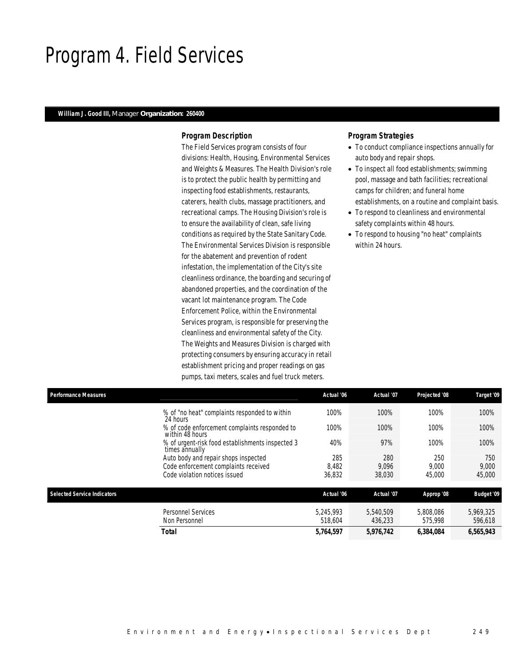### Program 4. Field Services

### *William J. Good III, Manager Organization: 260400*

### *Program Description*

The Field Services program consists of four divisions: Health, Housing, Environmental Services and Weights & Measures. The Health Division's role is to protect the public health by permitting and inspecting food establishments, restaurants, caterers, health clubs, massage practitioners, and recreational camps. The Housing Division's role is to ensure the availability of clean, safe living conditions as required by the State Sanitary Code. The Environmental Services Division is responsible for the abatement and prevention of rodent infestation, the implementation of the City's site cleanliness ordinance, the boarding and securing of abandoned properties, and the coordination of the vacant lot maintenance program. The Code Enforcement Police, within the Environmental Services program, is responsible for preserving the cleanliness and environmental safety of the City. The Weights and Measures Division is charged with protecting consumers by ensuring accuracy in retail establishment pricing and proper readings on gas pumps, taxi meters, scales and fuel truck meters.

- To conduct compliance inspections annually for auto body and repair shops.
- To inspect all food establishments; swimming pool, massage and bath facilities; recreational camps for children; and funeral home establishments, on a routine and complaint basis.
- To respond to cleanliness and environmental safety complaints within 48 hours.
- To respond to housing "no heat" complaints within 24 hours.

| <b>Performance Measures</b>        |                                                                    | Actual '06 | Actual '07 | Projected '08 | Target '09        |
|------------------------------------|--------------------------------------------------------------------|------------|------------|---------------|-------------------|
|                                    | % of "no heat" complaints responded to within<br>24 hours          | 100%       | 100%       | 100%          | 100%              |
|                                    | % of code enforcement complaints responded to<br>within 48 hours   | 100%       | 100%       | 100%          | 100%              |
|                                    | % of urgent-risk food establishments inspected 3<br>times annually | 40%        | 97%        | 100%          | 100%              |
|                                    | Auto body and repair shops inspected                               | 285        | 280        | 250           | 750               |
|                                    | Code enforcement complaints received                               | 8,482      | 9,096      | 9,000         | 9,000             |
|                                    | Code violation notices issued                                      | 36,832     | 38,030     | 45,000        | 45,000            |
| <b>Selected Service Indicators</b> |                                                                    | Actual '06 | Actual '07 | Approp '08    | <b>Budget '09</b> |
|                                    | <b>Personnel Services</b>                                          | 5.245.993  | 5.540.509  | 5.808.086     | 5,969,325         |
|                                    | Non Personnel                                                      | 518.604    | 436.233    | 575,998       | 596,618           |
|                                    | <b>Total</b>                                                       | 5,764,597  | 5,976,742  | 6,384,084     | 6,565,943         |